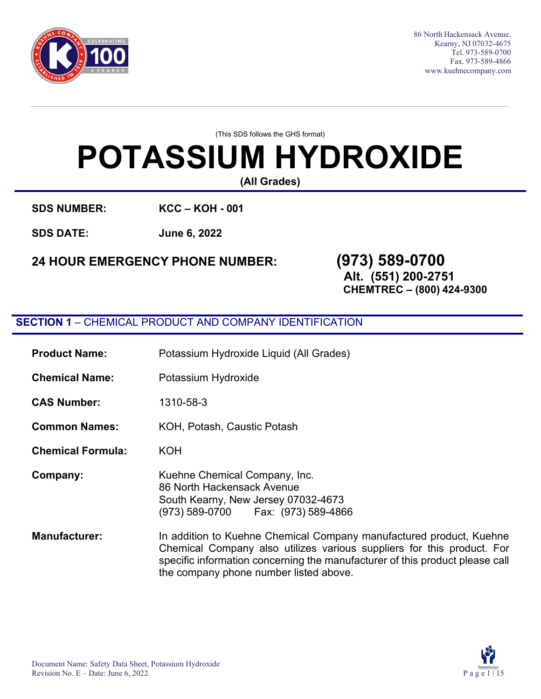

86 North Hackensack Avenue, Kearny, NJ 07032-4675 Tel. 973-589-0700 Fax. 973-589-4866 [www.kuehnecompany.com](http://www.kuehnecompany.com/)

(This SDS follows the GHS format)

# **POTASSIUM HYDROXIDE**

**(All Grades)**

**SDS NUMBER: KCC – KOH - 001** 

**SDS DATE: June 6, 2022**

## **24 HOUR EMERGENCY PHONE NUMBER: (973) 589-0700**

## **Alt. (551) 200-2751**

**CHEMTREC – (800) 424-9300**

#### **SECTION 1** – CHEMICAL PRODUCT AND COMPANY IDENTIFICATION

| <b>Product Name:</b>     | Potassium Hydroxide Liquid (All Grades)                                                                                                     |  |
|--------------------------|---------------------------------------------------------------------------------------------------------------------------------------------|--|
| <b>Chemical Name:</b>    | Potassium Hydroxide                                                                                                                         |  |
| <b>CAS Number:</b>       | 1310-58-3                                                                                                                                   |  |
| <b>Common Names:</b>     | KOH, Potash, Caustic Potash                                                                                                                 |  |
| <b>Chemical Formula:</b> | <b>KOH</b>                                                                                                                                  |  |
| Company:                 | Kuehne Chemical Company, Inc.<br>86 North Hackensack Avenue<br>South Kearny, New Jersey 07032-4673<br>(973) 589-0700    Fax: (973) 589-4866 |  |
| <b>Manufacturer:</b>     | In addition to Kuehne Chemical Company manu<br>Chamical Company also utilizes various supp                                                  |  |

ufactured product, Kuehne Chemical Company also utilizes various suppliers for this product. For specific information concerning the manufacturer of this product please call the company phone number listed above.

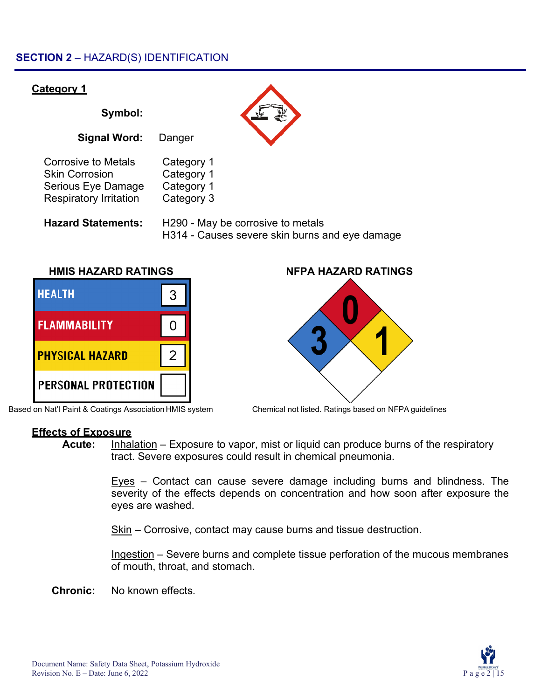#### **SECTION 2** – HAZARD(S) IDENTIFICATION

## **Category 1 Symbol: Signal Word:** Danger Corrosive to Metals Category 1 Skin Corrosion Category 1 Serious Eye Damage Category 1 Respiratory Irritation Category 3 **Hazard Statements:** H290 - May be corrosive to metals H314 - Causes severe skin burns and eye damage **HMIS HAZARD RATINGS NFPA HAZARD RATINGS**



Based on Nat'l Paint & Coatings Association HMIS system Chemical not listed. Ratings based on NFPA guidelines



#### **Effects of Exposure**

**Acute:** Inhalation – Exposure to vapor, mist or liquid can produce burns of the respiratory tract. Severe exposures could result in chemical pneumonia.

> Eyes – Contact can cause severe damage including burns and blindness. The severity of the effects depends on concentration and how soon after exposure the eyes are washed.

Skin – Corrosive, contact may cause burns and tissue destruction.

Ingestion – Severe burns and complete tissue perforation of the mucous membranes of mouth, throat, and stomach.

**Chronic:** No known effects.

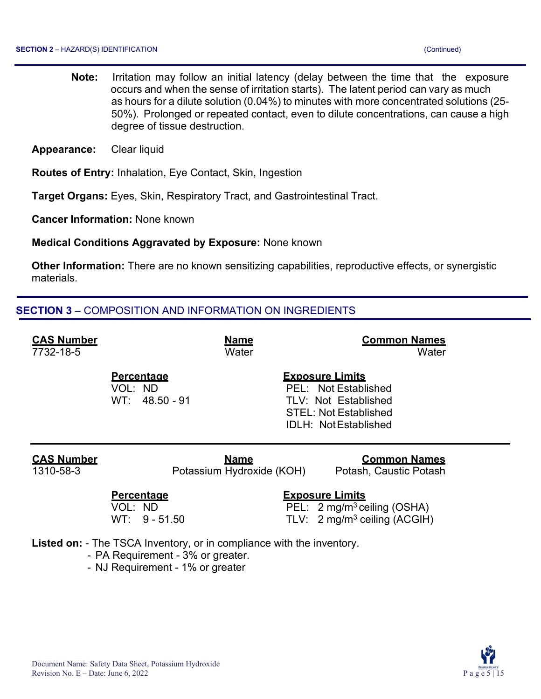- **Note:** Irritation may follow an initial latency (delay between the time that the exposure occurs and when the sense of irritation starts). The latent period can vary as much as hours for a dilute solution (0.04%) to minutes with more concentrated solutions (25- 50%). Prolonged or repeated contact, even to dilute concentrations, can cause a high degree of tissue destruction.
- **Appearance:** Clear liquid

**Routes of Entry:** Inhalation, Eye Contact, Skin, Ingestion

**Target Organs:** Eyes, Skin, Respiratory Tract, and Gastrointestinal Tract.

**Cancer Information:** None known

**Medical Conditions Aggravated by Exposure:** None known

**Other Information:** There are no known sensitizing capabilities, reproductive effects, or synergistic materials.

#### **SECTION 3** – COMPOSITION AND INFORMATION ON INGREDIENTS

| <b>CAS Number</b> |                                                  | <b>Name</b>               | <b>Common Names</b>                                                                                                      |
|-------------------|--------------------------------------------------|---------------------------|--------------------------------------------------------------------------------------------------------------------------|
| 7732-18-5         |                                                  | Water                     | Water                                                                                                                    |
|                   | <b>Percentage</b><br>VOL: ND<br>$WT: 48.50 - 91$ |                           | <b>Exposure Limits</b><br>PEL: Not Established<br>TLV: Not Established<br>STEL: Not Established<br>IDLH: Not Established |
| <b>CAS Number</b> |                                                  | <b>Name</b>               | <b>Common Names</b>                                                                                                      |
| 1310-58-3         |                                                  | Potassium Hydroxide (KOH) | Potash, Caustic Potash                                                                                                   |
|                   | Percentage<br>VOL: ND<br>$WT: 9 - 51.50$         |                           | <b>Exposure Limits</b><br>PEL: 2 mg/m <sup>3</sup> ceiling (OSHA)<br>TLV: $2 \text{ mg/m}^3$ ceiling (ACGIH)             |

**Listed on:** - The TSCA Inventory, or in compliance with the inventory.

- PA Requirement 3% or greater.
- NJ Requirement 1% or greater

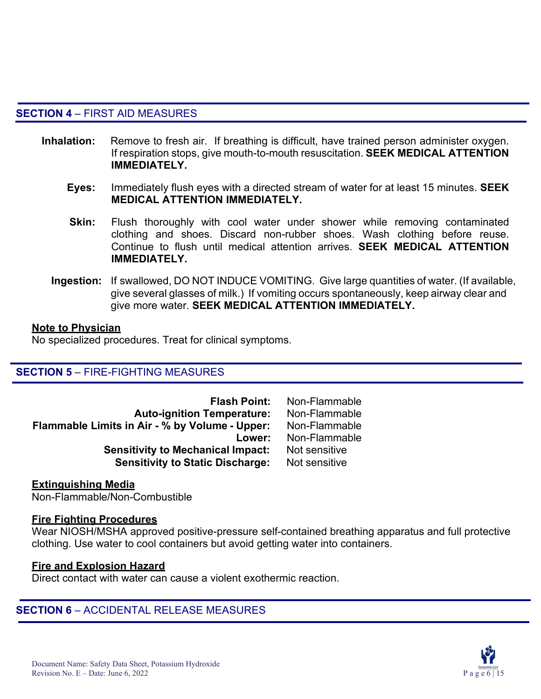#### **SECTION 4** – FIRST AID MEASURES

- **Inhalation:** Remove to fresh air. If breathing is difficult, have trained person administer oxygen. If respiration stops, give mouth-to-mouth resuscitation. **SEEK MEDICAL ATTENTION IMMEDIATELY.**
	- **Eyes:** Immediately flush eyes with a directed stream of water for at least 15 minutes. **SEEK MEDICAL ATTENTION IMMEDIATELY.**
	- **Skin:** Flush thoroughly with cool water under shower while removing contaminated clothing and shoes. Discard non-rubber shoes. Wash clothing before reuse. Continue to flush until medical attention arrives. **SEEK MEDICAL ATTENTION IMMEDIATELY.**
	- **Ingestion:** If swallowed, DO NOT INDUCE VOMITING. Give large quantities of water. (If available, give several glasses of milk.) If vomiting occurs spontaneously, keep airway clear and give more water. **SEEK MEDICAL ATTENTION IMMEDIATELY.**

#### **Note to Physician**

No specialized procedures. Treat for clinical symptoms.

#### **SECTION 5** – FIRE-FIGHTING MEASURES

| <b>Flash Point:</b>                            | Non-Flammable |
|------------------------------------------------|---------------|
| <b>Auto-ignition Temperature:</b>              | Non-Flammable |
| Flammable Limits in Air - % by Volume - Upper: | Non-Flammable |
| Lower:                                         | Non-Flammable |
| <b>Sensitivity to Mechanical Impact:</b>       | Not sensitive |
| <b>Sensitivity to Static Discharge:</b>        | Not sensitive |

#### **Extinguishing Media**

Non-Flammable/Non-Combustible

#### **Fire Fighting Procedures**

Wear NIOSH/MSHA approved positive-pressure self-contained breathing apparatus and full protective clothing. Use water to cool containers but avoid getting water into containers.

#### **Fire and Explosion Hazard**

Direct contact with water can cause a violent exothermic reaction.

#### **SECTION 6** – ACCIDENTAL RELEASE MEASURES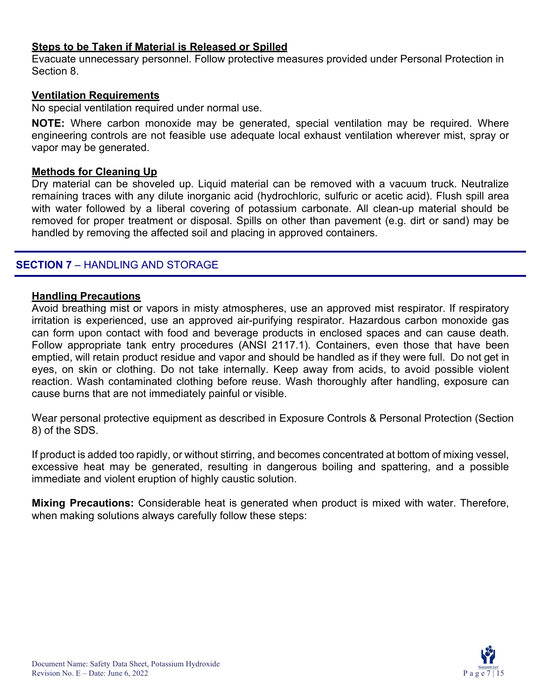#### **Steps to be Taken if Material is Released or Spilled**

Evacuate unnecessary personnel. Follow protective measures provided under Personal Protection in Section 8.

#### **Ventilation Requirements**

No special ventilation required under normal use.

**NOTE:** Where carbon monoxide may be generated, special ventilation may be required. Where engineering controls are not feasible use adequate local exhaust ventilation wherever mist, spray or vapor may be generated.

#### **Methods for Cleaning Up**

Dry material can be shoveled up. Liquid material can be removed with a vacuum truck. Neutralize remaining traces with any dilute inorganic acid (hydrochloric, sulfuric or acetic acid). Flush spill area with water followed by a liberal covering of potassium carbonate. All clean-up material should be removed for proper treatment or disposal. Spills on other than pavement (e.g. dirt or sand) may be handled by removing the affected soil and placing in approved containers.

#### **SECTION 7** – HANDLING AND STORAGE

#### **Handling Precautions**

Avoid breathing mist or vapors in misty atmospheres, use an approved mist respirator. If respiratory irritation is experienced, use an approved air-purifying respirator. Hazardous carbon monoxide gas can form upon contact with food and beverage products in enclosed spaces and can cause death. Follow appropriate tank entry procedures (ANSI 2117.1). Containers, even those that have been emptied, will retain product residue and vapor and should be handled as if they were full. Do not get in eyes, on skin or clothing. Do not take internally. Keep away from acids, to avoid possible violent reaction. Wash contaminated clothing before reuse. Wash thoroughly after handling, exposure can cause burns that are not immediately painful or visible.

Wear personal protective equipment as described in Exposure Controls & Personal Protection (Section 8) of the SDS.

If product is added too rapidly, or without stirring, and becomes concentrated at bottom of mixing vessel, excessive heat may be generated, resulting in dangerous boiling and spattering, and a possible immediate and violent eruption of highly caustic solution.

**Mixing Precautions:** Considerable heat is generated when product is mixed with water. Therefore, when making solutions always carefully follow these steps:

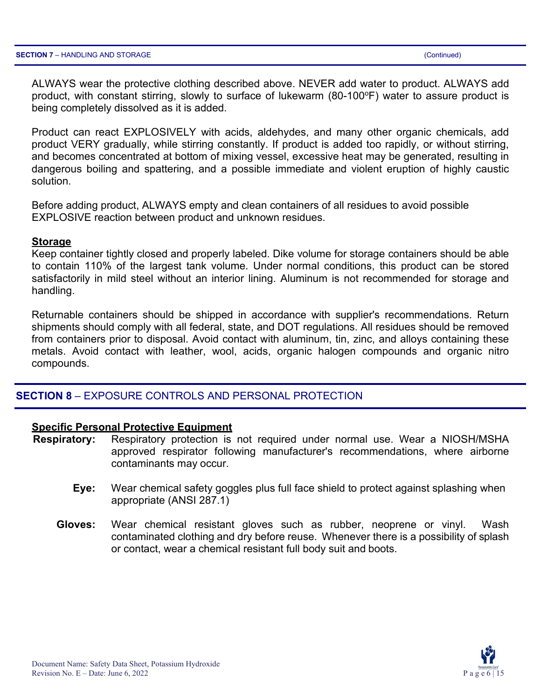ALWAYS wear the protective clothing described above. NEVER add water to product. ALWAYS add product, with constant stirring, slowly to surface of lukewarm (80-100°F) water to assure product is being completely dissolved as it is added.

Product can react EXPLOSIVELY with acids, aldehydes, and many other organic chemicals, add product VERY gradually, while stirring constantly. If product is added too rapidly, or without stirring, and becomes concentrated at bottom of mixing vessel, excessive heat may be generated, resulting in dangerous boiling and spattering, and a possible immediate and violent eruption of highly caustic solution.

Before adding product, ALWAYS empty and clean containers of all residues to avoid possible EXPLOSIVE reaction between product and unknown residues.

#### **Storage**

Keep container tightly closed and properly labeled. Dike volume for storage containers should be able to contain 110% of the largest tank volume. Under normal conditions, this product can be stored satisfactorily in mild steel without an interior lining. Aluminum is not recommended for storage and handling.

Returnable containers should be shipped in accordance with supplier's recommendations. Return shipments should comply with all federal, state, and DOT regulations. All residues should be removed from containers prior to disposal. Avoid contact with aluminum, tin, zinc, and alloys containing these metals. Avoid contact with leather, wool, acids, organic halogen compounds and organic nitro compounds.

#### **SECTION 8** – EXPOSURE CONTROLS AND PERSONAL PROTECTION

#### **Specific Personal Protective Equipment**

- **Respiratory:** Respiratory protection is not required under normal use. Wear a NIOSH/MSHA approved respirator following manufacturer's recommendations, where airborne contaminants may occur.
	- **Eye:** Wear chemical safety goggles plus full face shield to protect against splashing when appropriate (ANSI 287.1)
	- **Gloves:** Wear chemical resistant gloves such as rubber, neoprene or vinyl. Wash contaminated clothing and dry before reuse. Whenever there is a possibility of splash or contact, wear a chemical resistant full body suit and boots.

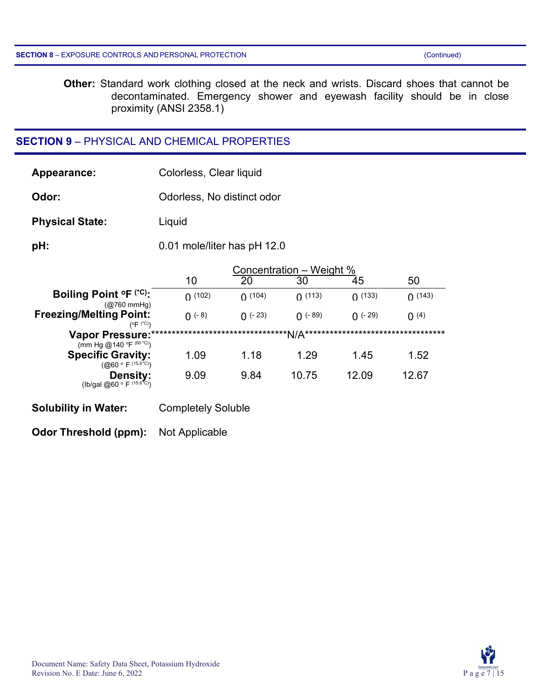**Other:** Standard work clothing closed at the neck and wrists. Discard shoes that cannot be decontaminated. Emergency shower and eyewash facility should be in close proximity (ANSI 2358.1)

#### **SECTION 9** – PHYSICAL AND CHEMICAL PROPERTIES

| Appearance:                                                  | Colorless, Clear liquid                          |                            |            |            |                           |
|--------------------------------------------------------------|--------------------------------------------------|----------------------------|------------|------------|---------------------------|
| Odor:                                                        | Odorless, No distinct odor                       |                            |            |            |                           |
| <b>Physical State:</b>                                       | Liquid                                           |                            |            |            |                           |
| pH:                                                          | 0.01 mole/liter has pH 12.0                      |                            |            |            |                           |
|                                                              | Concentration – Weight %<br>20<br>10<br>30<br>45 |                            |            |            | 50                        |
| Boiling Point °F (*C):<br>$(Q760 \text{ mmHg})$              | (102)                                            | (104)                      | (113)      | (133)      | (143)                     |
| <b>Freezing/Melting Point:</b><br>$(^{\circ}F^{(^{\ast}C)})$ | $(1 - 8)$                                        | $($ (- 23)                 | $() (-89)$ | $() (-29)$ | (4)                       |
| Vapor Pressure:*******<br>(mm Hg @140 °F (60 °C))            |                                                  | ***********************N/A |            |            | ************************* |
| <b>Specific Gravity:</b><br>$(Q60 \circ F^{(15.6 \cdot C)})$ | 1.09                                             | 1.18                       | 1.29       | 1.45       | 1.52                      |
| Density:<br>(lb/gal @60 ° F (15.6 °C))                       | 9.09                                             | 9.84                       | 10.75      | 12.09      | 12.67                     |
| <b>Solubility in Water:</b>                                  | <b>Completely Soluble</b>                        |                            |            |            |                           |

**Odor Threshold (ppm):** Not Applicable

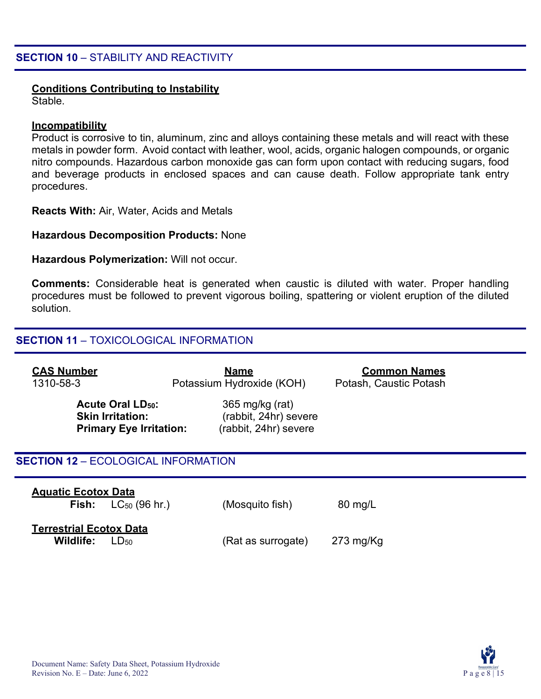### **Conditions Contributing to Instability**

Stable.

#### **Incompatibility**

Product is corrosive to tin, aluminum, zinc and alloys containing these metals and will react with these metals in powder form. Avoid contact with leather, wool, acids, organic halogen compounds, or organic nitro compounds. Hazardous carbon monoxide gas can form upon contact with reducing sugars, food and beverage products in enclosed spaces and can cause death. Follow appropriate tank entry procedures.

**Reacts With:** Air, Water, Acids and Metals

#### **Hazardous Decomposition Products:** None

**Hazardous Polymerization:** Will not occur.

**Comments:** Considerable heat is generated when caustic is diluted with water. Proper handling procedures must be followed to prevent vigorous boiling, spattering or violent eruption of the diluted solution.

#### **SECTION 11** – TOXICOLOGICAL INFORMATION

| <b>CAS Number</b><br>1310-58-3                                |                                | <u>Name</u><br>Potassium Hydroxide (KOH)                          | <b>Common Names</b><br>Potash, Caustic Potash |  |
|---------------------------------------------------------------|--------------------------------|-------------------------------------------------------------------|-----------------------------------------------|--|
| <b>Acute Oral LD<sub>50</sub>:</b><br><b>Skin Irritation:</b> | <b>Primary Eye Irritation:</b> | 365 mg/kg (rat)<br>(rabbit, 24hr) severe<br>(rabbit, 24hr) severe |                                               |  |
| <b>SECTION 12 - ECOLOGICAL INFORMATION</b>                    |                                |                                                                   |                                               |  |
| <b>Aquatic Ecotox Data</b><br>Fish:                           | $LC_{50}$ (96 hr.)             | (Mosquito fish)                                                   | 80 mg/L                                       |  |
| <b>Terrestrial Ecotox Data</b><br>Wildlife:                   | $LD_{50}$                      | (Rat as surrogate)                                                | $273$ mg/Kg                                   |  |

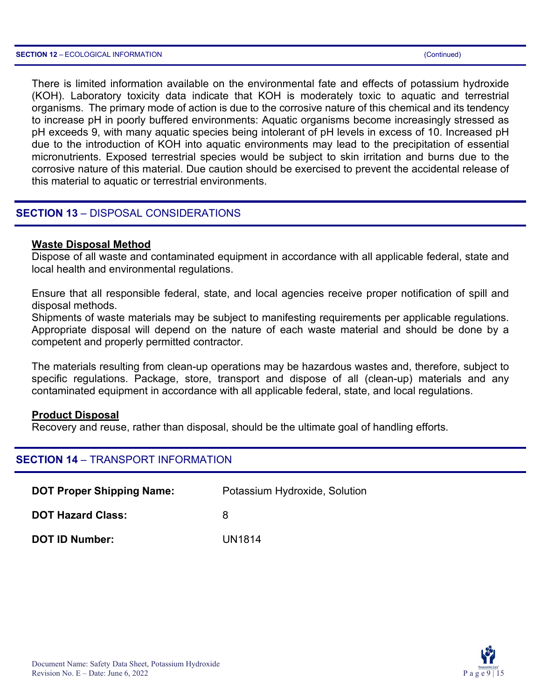There is limited information available on the environmental fate and effects of potassium hydroxide (KOH). Laboratory toxicity data indicate that KOH is moderately toxic to aquatic and terrestrial organisms. The primary mode of action is due to the corrosive nature of this chemical and its tendency to increase pH in poorly buffered environments: Aquatic organisms become increasingly stressed as pH exceeds 9, with many aquatic species being intolerant of pH levels in excess of 10. Increased pH due to the introduction of KOH into aquatic environments may lead to the precipitation of essential micronutrients. Exposed terrestrial species would be subject to skin irritation and burns due to the corrosive nature of this material. Due caution should be exercised to prevent the accidental release of this material to aquatic or terrestrial environments.

#### **SECTION 13** – DISPOSAL CONSIDERATIONS

#### **Waste Disposal Method**

Dispose of all waste and contaminated equipment in accordance with all applicable federal, state and local health and environmental regulations.

Ensure that all responsible federal, state, and local agencies receive proper notification of spill and disposal methods.

Shipments of waste materials may be subject to manifesting requirements per applicable regulations. Appropriate disposal will depend on the nature of each waste material and should be done by a competent and properly permitted contractor.

The materials resulting from clean-up operations may be hazardous wastes and, therefore, subject to specific regulations. Package, store, transport and dispose of all (clean-up) materials and any contaminated equipment in accordance with all applicable federal, state, and local regulations.

#### **Product Disposal**

Recovery and reuse, rather than disposal, should be the ultimate goal of handling efforts.

#### **SECTION 14** – TRANSPORT INFORMATION

| <b>DOT Proper Shipping Name:</b> | Potassium Hydroxide, Solution |
|----------------------------------|-------------------------------|
| <b>DOT Hazard Class:</b>         | 8                             |
| <b>DOT ID Number:</b>            | <b>UN1814</b>                 |

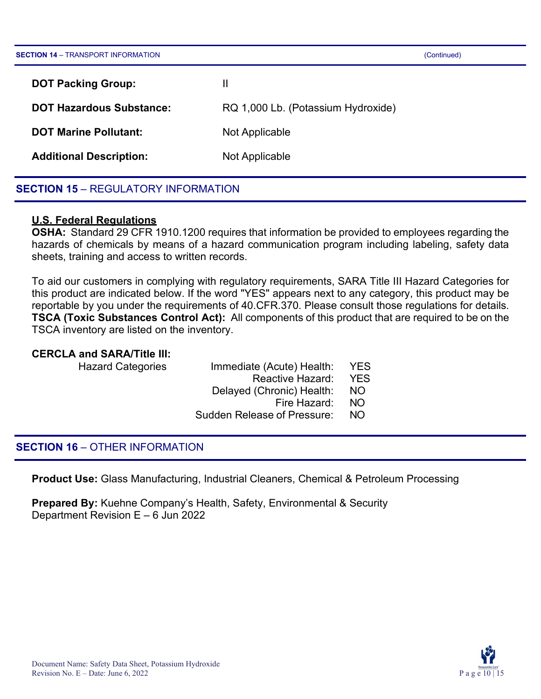| <b>SECTION 14 - TRANSPORT INFORMATION</b> | (Continued)                        |
|-------------------------------------------|------------------------------------|
| <b>DOT Packing Group:</b>                 | Ш                                  |
| <b>DOT Hazardous Substance:</b>           | RQ 1,000 Lb. (Potassium Hydroxide) |
| <b>DOT Marine Pollutant:</b>              | Not Applicable                     |
| <b>Additional Description:</b>            | Not Applicable                     |
|                                           |                                    |

#### **SECTION 15 - REGULATORY INFORMATION**

#### **U.S. Federal Regulations**

**OSHA:** Standard 29 CFR 1910.1200 requires that information be provided to employees regarding the hazards of chemicals by means of a hazard communication program including labeling, safety data sheets, training and access to written records.

To aid our customers in complying with regulatory requirements, SARA Title III Hazard Categories for this product are indicated below. If the word "YES" appears next to any category, this product may be reportable by you under the requirements of 40.CFR.370. Please consult those regulations for details. **TSCA (Toxic Substances Control Act):** All components of this product that are required to be on the TSCA inventory are listed on the inventory.

#### **CERCLA and SARA/Title III:**

| <b>Hazard Categories</b> | Immediate (Acute) Health:          | <b>YES</b> |
|--------------------------|------------------------------------|------------|
|                          | Reactive Hazard:                   | <b>YES</b> |
|                          | Delayed (Chronic) Health:          | NO.        |
|                          | Fire Hazard:                       | - NO       |
|                          | <b>Sudden Release of Pressure:</b> | NO.        |
|                          |                                    |            |

#### **SECTION 16** – OTHER INFORMATION

**Product Use:** Glass Manufacturing, Industrial Cleaners, Chemical & Petroleum Processing

**Prepared By:** Kuehne Company's Health, Safety, Environmental & Security Department Revision E – 6 Jun 2022

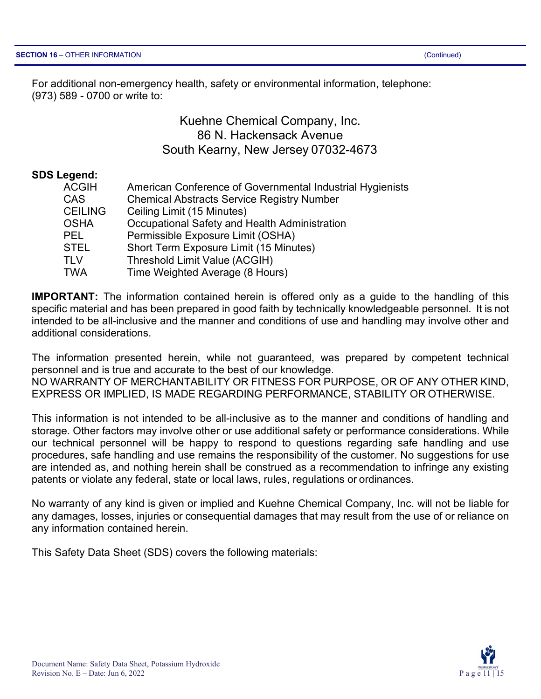For additional non-emergency health, safety or environmental information, telephone: (973) 589 - 0700 or write to:

> Kuehne Chemical Company, Inc. 86 N. Hackensack Avenue South Kearny, New Jersey 07032-4673

#### **SDS Legend:**

| American Conference of Governmental Industrial Hygienists |
|-----------------------------------------------------------|
| <b>Chemical Abstracts Service Registry Number</b>         |
| Ceiling Limit (15 Minutes)                                |
| Occupational Safety and Health Administration             |
| Permissible Exposure Limit (OSHA)                         |
| Short Term Exposure Limit (15 Minutes)                    |
| Threshold Limit Value (ACGIH)                             |
| Time Weighted Average (8 Hours)                           |
|                                                           |

**IMPORTANT:** The information contained herein is offered only as a guide to the handling of this specific material and has been prepared in good faith by technically knowledgeable personnel. It is not intended to be all-inclusive and the manner and conditions of use and handling may involve other and additional considerations.

The information presented herein, while not guaranteed, was prepared by competent technical personnel and is true and accurate to the best of our knowledge. NO WARRANTY OF MERCHANTABILITY OR FITNESS FOR PURPOSE, OR OF ANY OTHER KIND, EXPRESS OR IMPLIED, IS MADE REGARDING PERFORMANCE, STABILITY OR OTHERWISE.

This information is not intended to be all-inclusive as to the manner and conditions of handling and storage. Other factors may involve other or use additional safety or performance considerations. While our technical personnel will be happy to respond to questions regarding safe handling and use procedures, safe handling and use remains the responsibility of the customer. No suggestions for use are intended as, and nothing herein shall be construed as a recommendation to infringe any existing patents or violate any federal, state or local laws, rules, regulations or ordinances.

No warranty of any kind is given or implied and Kuehne Chemical Company, Inc. will not be liable for any damages, losses, injuries or consequential damages that may result from the use of or reliance on any information contained herein.

This Safety Data Sheet (SDS) covers the following materials:

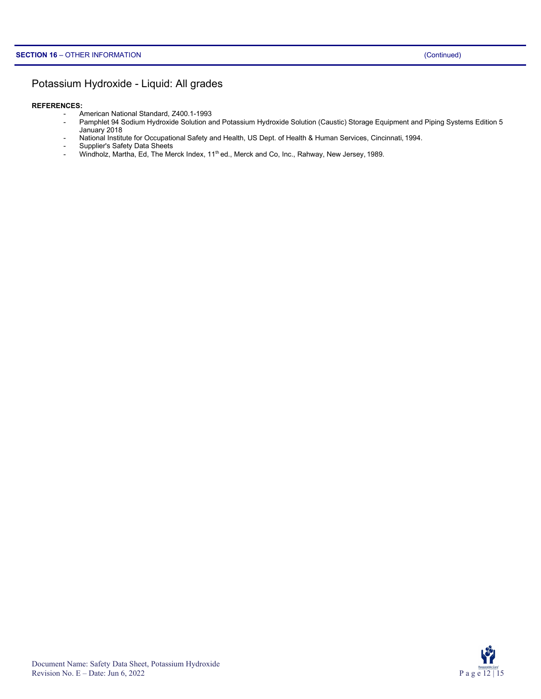#### Potassium Hydroxide - Liquid: All grades

#### **REFERENCES:**

- American National Standard, Z400.1-1993
	- Pamphlet 94 Sodium Hydroxide Solution and Potassium Hydroxide Solution (Caustic) Storage Equipment and Piping Systems Edition 5 January 2018
	- National Institute for Occupational Safety and Health, US Dept. of Health & Human Services, Cincinnati, 1994.
	- Supplier's Safety Data Sheets
	- Windholz, Martha, Ed, The Merck Index, 11<sup>th</sup> ed., Merck and Co, Inc., Rahway, New Jersey, 1989.

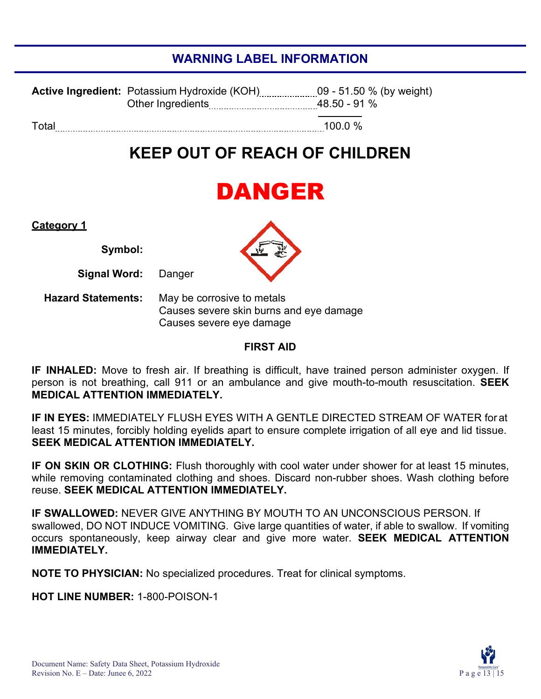## **WARNING LABEL INFORMATION**

|       | <b>Active Ingredient:</b> Potassium Hydroxide (KOH)<br>Other Ingredients | 48.50 - 91 % |
|-------|--------------------------------------------------------------------------|--------------|
| Total |                                                                          | 100.0 $%$    |

## **KEEP OUT OF REACH OF CHILDREN**

## DANGER

**Category 1**

**Symbol:**

**Signal Word:** Danger

**Hazard Statements:** May be corrosive to metals Causes severe skin burns and eye damage Causes severe eye damage

#### **FIRST AID**

**IF INHALED:** Move to fresh air. If breathing is difficult, have trained person administer oxygen. If person is not breathing, call 911 or an ambulance and give mouth-to-mouth resuscitation. **SEEK MEDICAL ATTENTION IMMEDIATELY.**

**IF IN EYES:** IMMEDIATELY FLUSH EYES WITH A GENTLE DIRECTED STREAM OF WATER for at least 15 minutes, forcibly holding eyelids apart to ensure complete irrigation of all eye and lid tissue. **SEEK MEDICAL ATTENTION IMMEDIATELY.**

**IF ON SKIN OR CLOTHING:** Flush thoroughly with cool water under shower for at least 15 minutes, while removing contaminated clothing and shoes. Discard non-rubber shoes. Wash clothing before reuse. **SEEK MEDICAL ATTENTION IMMEDIATELY.**

**IF SWALLOWED:** NEVER GIVE ANYTHING BY MOUTH TO AN UNCONSCIOUS PERSON. If swallowed, DO NOT INDUCE VOMITING. Give large quantities of water, if able to swallow. If vomiting occurs spontaneously, keep airway clear and give more water. **SEEK MEDICAL ATTENTION IMMEDIATELY.**

**NOTE TO PHYSICIAN:** No specialized procedures. Treat for clinical symptoms.

**HOT LINE NUMBER:** 1-800-POISON-1

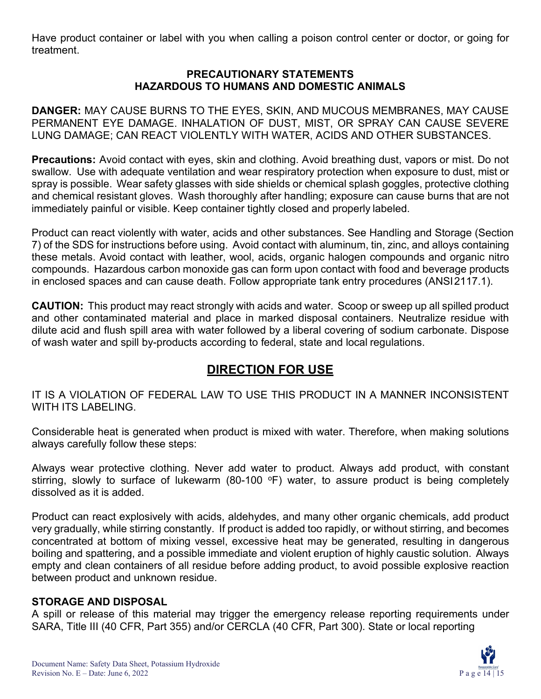Have product container or label with you when calling a poison control center or doctor, or going for treatment.

#### **PRECAUTIONARY STATEMENTS HAZARDOUS TO HUMANS AND DOMESTIC ANIMALS**

**DANGER:** MAY CAUSE BURNS TO THE EYES, SKIN, AND MUCOUS MEMBRANES, MAY CAUSE PERMANENT EYE DAMAGE. INHALATION OF DUST, MIST, OR SPRAY CAN CAUSE SEVERE LUNG DAMAGE; CAN REACT VIOLENTLY WITH WATER, ACIDS AND OTHER SUBSTANCES.

**Precautions:** Avoid contact with eyes, skin and clothing. Avoid breathing dust, vapors or mist. Do not swallow. Use with adequate ventilation and wear respiratory protection when exposure to dust, mist or spray is possible. Wear safety glasses with side shields or chemical splash goggles, protective clothing and chemical resistant gloves. Wash thoroughly after handling; exposure can cause burns that are not immediately painful or visible. Keep container tightly closed and properly labeled.

Product can react violently with water, acids and other substances. See Handling and Storage (Section 7) of the SDS for instructions before using. Avoid contact with aluminum, tin, zinc, and alloys containing these metals. Avoid contact with leather, wool, acids, organic halogen compounds and organic nitro compounds. Hazardous carbon monoxide gas can form upon contact with food and beverage products in enclosed spaces and can cause death. Follow appropriate tank entry procedures (ANSI2117.1).

**CAUTION:** This product may react strongly with acids and water. Scoop or sweep up all spilled product and other contaminated material and place in marked disposal containers. Neutralize residue with dilute acid and flush spill area with water followed by a liberal covering of sodium carbonate. Dispose of wash water and spill by-products according to federal, state and local regulations.

## **DIRECTION FOR USE**

IT IS A VIOLATION OF FEDERAL LAW TO USE THIS PRODUCT IN A MANNER INCONSISTENT WITH ITS LABELING.

Considerable heat is generated when product is mixed with water. Therefore, when making solutions always carefully follow these steps:

Always wear protective clothing. Never add water to product. Always add product, with constant stirring, slowly to surface of lukewarm (80-100  $\degree$ F) water, to assure product is being completely dissolved as it is added.

Product can react explosively with acids, aldehydes, and many other organic chemicals, add product very gradually, while stirring constantly. If product is added too rapidly, or without stirring, and becomes concentrated at bottom of mixing vessel, excessive heat may be generated, resulting in dangerous boiling and spattering, and a possible immediate and violent eruption of highly caustic solution. Always empty and clean containers of all residue before adding product, to avoid possible explosive reaction between product and unknown residue.

#### **STORAGE AND DISPOSAL**

A spill or release of this material may trigger the emergency release reporting requirements under SARA, Title III (40 CFR, Part 355) and/or CERCLA (40 CFR, Part 300). State or local reporting